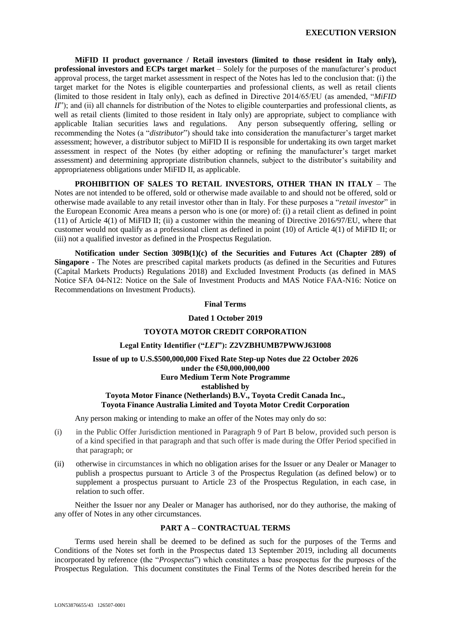**MiFID II product governance / Retail investors (limited to those resident in Italy only), professional investors and ECPs target market** – Solely for the purposes of the manufacturer's product approval process, the target market assessment in respect of the Notes has led to the conclusion that: (i) the target market for the Notes is eligible counterparties and professional clients, as well as retail clients (limited to those resident in Italy only), each as defined in Directive 2014/65/EU (as amended, "*MiFID II*"); and (ii) all channels for distribution of the Notes to eligible counterparties and professional clients, as well as retail clients (limited to those resident in Italy only) are appropriate, subject to compliance with applicable Italian securities laws and regulations. Any person subsequently offering, selling or recommending the Notes (a "*distributor*") should take into consideration the manufacturer's target market assessment; however, a distributor subject to MiFID II is responsible for undertaking its own target market assessment in respect of the Notes (by either adopting or refining the manufacturer's target market assessment) and determining appropriate distribution channels, subject to the distributor's suitability and appropriateness obligations under MiFID II, as applicable.

**PROHIBITION OF SALES TO RETAIL INVESTORS, OTHER THAN IN ITALY** – The Notes are not intended to be offered, sold or otherwise made available to and should not be offered, sold or otherwise made available to any retail investor other than in Italy. For these purposes a "*retail investor*" in the European Economic Area means a person who is one (or more) of: (i) a retail client as defined in point (11) of Article 4(1) of MiFID II; (ii) a customer within the meaning of Directive 2016/97/EU, where that customer would not qualify as a professional client as defined in point (10) of Article 4(1) of MiFID II; or (iii) not a qualified investor as defined in the Prospectus Regulation.

**Notification under Section 309B(1)(c) of the Securities and Futures Act (Chapter 289) of Singapore** - The Notes are prescribed capital markets products (as defined in the Securities and Futures (Capital Markets Products) Regulations 2018) and Excluded Investment Products (as defined in MAS Notice SFA 04-N12: Notice on the Sale of Investment Products and MAS Notice FAA-N16: Notice on Recommendations on Investment Products).

#### **Final Terms**

#### **Dated 1 October 2019**

## **TOYOTA MOTOR CREDIT CORPORATION**

## **Legal Entity Identifier ("***LEI***"): Z2VZBHUMB7PWWJ63I008**

# **Issue of up to U.S.\$500,000,000 Fixed Rate Step-up Notes due 22 October 2026 under the €50,000,000,000 Euro Medium Term Note Programme established by Toyota Motor Finance (Netherlands) B.V., Toyota Credit Canada Inc., Toyota Finance Australia Limited and Toyota Motor Credit Corporation**

Any person making or intending to make an offer of the Notes may only do so:

- (i) in the Public Offer Jurisdiction mentioned in Paragraph 9 of Part B below, provided such person is of a kind specified in that paragraph and that such offer is made during the Offer Period specified in that paragraph; or
- (ii) otherwise in circumstances in which no obligation arises for the Issuer or any Dealer or Manager to publish a prospectus pursuant to Article 3 of the Prospectus Regulation (as defined below) or to supplement a prospectus pursuant to Article 23 of the Prospectus Regulation, in each case, in relation to such offer.

Neither the Issuer nor any Dealer or Manager has authorised, nor do they authorise, the making of any offer of Notes in any other circumstances.

#### **PART A – CONTRACTUAL TERMS**

Terms used herein shall be deemed to be defined as such for the purposes of the Terms and Conditions of the Notes set forth in the Prospectus dated 13 September 2019, including all documents incorporated by reference (the "*Prospectus*") which constitutes a base prospectus for the purposes of the Prospectus Regulation. This document constitutes the Final Terms of the Notes described herein for the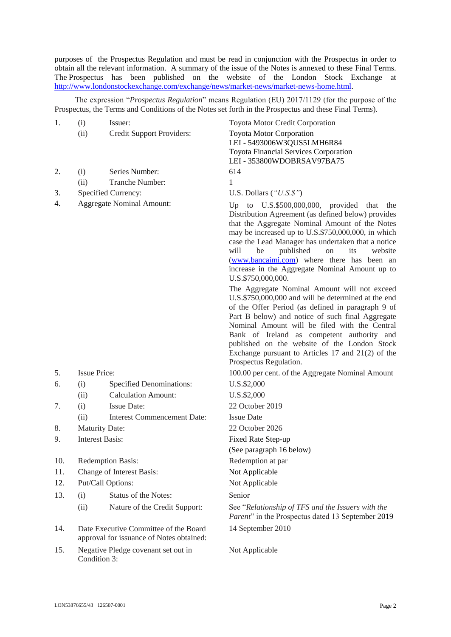purposes of the Prospectus Regulation and must be read in conjunction with the Prospectus in order to obtain all the relevant information. A summary of the issue of the Notes is annexed to these Final Terms. The Prospectus has been published on the website of the London Stock Exchange at [http://www.londonstockexchange.com/exchange/news/market-news/market-news-home.html.](http://www.londonstockexchange.com/exchange/news/market-news/market-news-home.html)

The expression "*Prospectus Regulation*" means Regulation (EU) 2017/1129 (for the purpose of the Prospectus, the Terms and Conditions of the Notes set forth in the Prospectus and these Final Terms).

| 1.  | (i)                                         | Issuer:                                                                           | <b>Toyota Motor Credit Corporation</b>                                                                                                                                                                                                                                                                                                                                                                                                         |  |  |  |
|-----|---------------------------------------------|-----------------------------------------------------------------------------------|------------------------------------------------------------------------------------------------------------------------------------------------------------------------------------------------------------------------------------------------------------------------------------------------------------------------------------------------------------------------------------------------------------------------------------------------|--|--|--|
|     | (ii)                                        | Credit Support Providers:                                                         | <b>Toyota Motor Corporation</b>                                                                                                                                                                                                                                                                                                                                                                                                                |  |  |  |
|     |                                             |                                                                                   | LEI - 5493006W3QUS5LMH6R84                                                                                                                                                                                                                                                                                                                                                                                                                     |  |  |  |
|     |                                             |                                                                                   | <b>Toyota Financial Services Corporation</b>                                                                                                                                                                                                                                                                                                                                                                                                   |  |  |  |
|     |                                             |                                                                                   | LEI - 353800WDOBRSAV97BA75                                                                                                                                                                                                                                                                                                                                                                                                                     |  |  |  |
| 2.  | (i)                                         | Series Number:                                                                    | 614                                                                                                                                                                                                                                                                                                                                                                                                                                            |  |  |  |
|     | (ii)                                        | Tranche Number:                                                                   | 1                                                                                                                                                                                                                                                                                                                                                                                                                                              |  |  |  |
| 3.  |                                             | Specified Currency:                                                               | U.S. Dollars $("U.S.\$ S")                                                                                                                                                                                                                                                                                                                                                                                                                     |  |  |  |
| 4.  |                                             | <b>Aggregate Nominal Amount:</b>                                                  | to U.S.\$500,000,000, provided that<br>Up<br>the<br>Distribution Agreement (as defined below) provides<br>that the Aggregate Nominal Amount of the Notes<br>may be increased up to U.S.\$750,000,000, in which<br>case the Lead Manager has undertaken that a notice<br>its<br>will<br>be<br>published<br>on<br>website<br>(www.bancaimi.com) where there has been an<br>increase in the Aggregate Nominal Amount up to<br>U.S.\$750,000,000.  |  |  |  |
|     |                                             |                                                                                   | The Aggregate Nominal Amount will not exceed<br>U.S.\$750,000,000 and will be determined at the end<br>of the Offer Period (as defined in paragraph 9 of<br>Part B below) and notice of such final Aggregate<br>Nominal Amount will be filed with the Central<br>Bank of Ireland as competent authority and<br>published on the website of the London Stock<br>Exchange pursuant to Articles $17$ and $21(2)$ of the<br>Prospectus Regulation. |  |  |  |
| 5.  | <b>Issue Price:</b>                         |                                                                                   | 100.00 per cent. of the Aggregate Nominal Amount                                                                                                                                                                                                                                                                                                                                                                                               |  |  |  |
| 6.  | (i)                                         | <b>Specified Denominations:</b>                                                   | U.S.\$2,000                                                                                                                                                                                                                                                                                                                                                                                                                                    |  |  |  |
|     | (ii)                                        | <b>Calculation Amount:</b>                                                        | U.S.\$2,000                                                                                                                                                                                                                                                                                                                                                                                                                                    |  |  |  |
| 7.  | (i)                                         | <b>Issue Date:</b>                                                                | 22 October 2019                                                                                                                                                                                                                                                                                                                                                                                                                                |  |  |  |
|     | (ii)                                        | <b>Interest Commencement Date:</b>                                                | <b>Issue Date</b>                                                                                                                                                                                                                                                                                                                                                                                                                              |  |  |  |
| 8.  |                                             | <b>Maturity Date:</b>                                                             | 22 October 2026                                                                                                                                                                                                                                                                                                                                                                                                                                |  |  |  |
| 9.  | <b>Interest Basis:</b>                      |                                                                                   | Fixed Rate Step-up                                                                                                                                                                                                                                                                                                                                                                                                                             |  |  |  |
|     |                                             |                                                                                   | (See paragraph 16 below)                                                                                                                                                                                                                                                                                                                                                                                                                       |  |  |  |
| 10. |                                             | <b>Redemption Basis:</b>                                                          | Redemption at par                                                                                                                                                                                                                                                                                                                                                                                                                              |  |  |  |
| 11. | Change of Interest Basis:<br>Not Applicable |                                                                                   |                                                                                                                                                                                                                                                                                                                                                                                                                                                |  |  |  |
| 12. |                                             | Put/Call Options:<br>Not Applicable                                               |                                                                                                                                                                                                                                                                                                                                                                                                                                                |  |  |  |
| 13. | (i)                                         | <b>Status of the Notes:</b>                                                       | Senior                                                                                                                                                                                                                                                                                                                                                                                                                                         |  |  |  |
|     | (ii)                                        | Nature of the Credit Support:                                                     | See "Relationship of TFS and the Issuers with the<br>Parent" in the Prospectus dated 13 September 2019                                                                                                                                                                                                                                                                                                                                         |  |  |  |
| 14. |                                             | Date Executive Committee of the Board<br>approval for issuance of Notes obtained: | 14 September 2010                                                                                                                                                                                                                                                                                                                                                                                                                              |  |  |  |
| 15. |                                             | Negative Pledge covenant set out in                                               | Not Applicable                                                                                                                                                                                                                                                                                                                                                                                                                                 |  |  |  |

Condition 3: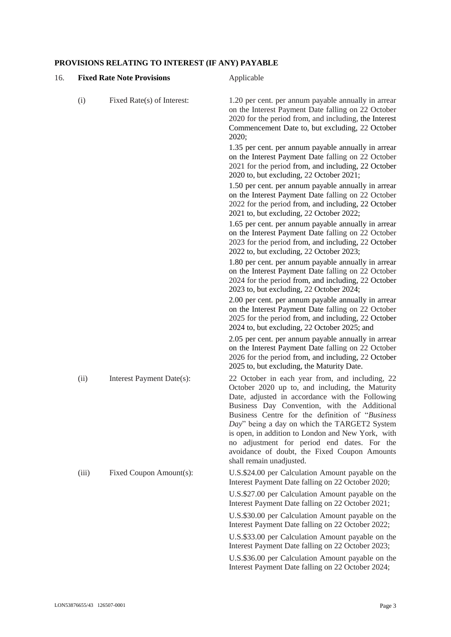# **PROVISIONS RELATING TO INTEREST (IF ANY) PAYABLE**

| 16. | <b>Fixed Rate Note Provisions</b> |                            | Applicable                                                                                                                                                                                                                                                                                                                                                                                                                                                                                |  |  |
|-----|-----------------------------------|----------------------------|-------------------------------------------------------------------------------------------------------------------------------------------------------------------------------------------------------------------------------------------------------------------------------------------------------------------------------------------------------------------------------------------------------------------------------------------------------------------------------------------|--|--|
|     | (i)                               | Fixed Rate(s) of Interest: | 1.20 per cent. per annum payable annually in arrear<br>on the Interest Payment Date falling on 22 October<br>2020 for the period from, and including, the Interest<br>Commencement Date to, but excluding, 22 October<br>2020;                                                                                                                                                                                                                                                            |  |  |
|     |                                   |                            | 1.35 per cent. per annum payable annually in arrear<br>on the Interest Payment Date falling on 22 October<br>2021 for the period from, and including, 22 October<br>2020 to, but excluding, 22 October 2021;                                                                                                                                                                                                                                                                              |  |  |
|     |                                   |                            | 1.50 per cent. per annum payable annually in arrear<br>on the Interest Payment Date falling on 22 October<br>2022 for the period from, and including, 22 October<br>2021 to, but excluding, 22 October 2022;                                                                                                                                                                                                                                                                              |  |  |
|     |                                   |                            | 1.65 per cent. per annum payable annually in arrear<br>on the Interest Payment Date falling on 22 October<br>2023 for the period from, and including, 22 October<br>2022 to, but excluding, 22 October 2023;                                                                                                                                                                                                                                                                              |  |  |
|     |                                   |                            | 1.80 per cent. per annum payable annually in arrear<br>on the Interest Payment Date falling on 22 October<br>2024 for the period from, and including, 22 October<br>2023 to, but excluding, 22 October 2024;                                                                                                                                                                                                                                                                              |  |  |
|     |                                   |                            | 2.00 per cent. per annum payable annually in arrear<br>on the Interest Payment Date falling on 22 October<br>2025 for the period from, and including, 22 October<br>2024 to, but excluding, 22 October 2025; and                                                                                                                                                                                                                                                                          |  |  |
|     |                                   |                            | 2.05 per cent. per annum payable annually in arrear<br>on the Interest Payment Date falling on 22 October<br>2026 for the period from, and including, 22 October<br>2025 to, but excluding, the Maturity Date.                                                                                                                                                                                                                                                                            |  |  |
|     | (ii)                              | Interest Payment Date(s):  | 22 October in each year from, and including, 22<br>October 2020 up to, and including, the Maturity<br>Date, adjusted in accordance with the Following<br>Business Day Convention, with the Additional<br>Business Centre for the definition of "Business"<br>Day" being a day on which the TARGET2 System<br>is open, in addition to London and New York, with<br>no adjustment for period end dates. For the<br>avoidance of doubt, the Fixed Coupon Amounts<br>shall remain unadjusted. |  |  |
|     | (iii)                             | Fixed Coupon Amount(s):    | U.S.\$24.00 per Calculation Amount payable on the<br>Interest Payment Date falling on 22 October 2020;                                                                                                                                                                                                                                                                                                                                                                                    |  |  |
|     |                                   |                            | U.S.\$27.00 per Calculation Amount payable on the<br>Interest Payment Date falling on 22 October 2021;                                                                                                                                                                                                                                                                                                                                                                                    |  |  |
|     |                                   |                            | U.S.\$30.00 per Calculation Amount payable on the<br>Interest Payment Date falling on 22 October 2022;                                                                                                                                                                                                                                                                                                                                                                                    |  |  |
|     |                                   |                            | U.S.\$33.00 per Calculation Amount payable on the<br>Interest Payment Date falling on 22 October 2023;                                                                                                                                                                                                                                                                                                                                                                                    |  |  |
|     |                                   |                            | U.S.\$36.00 per Calculation Amount payable on the<br>Interest Payment Date falling on 22 October 2024;                                                                                                                                                                                                                                                                                                                                                                                    |  |  |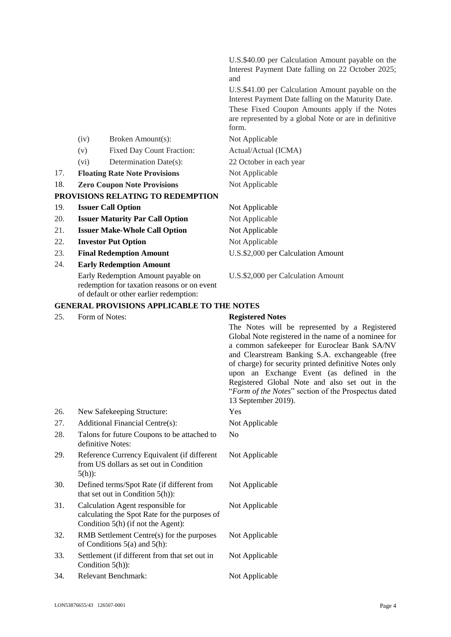|     |      |                                        | U.S.\$40.00 per Calculation Amount payable on the                                                                                                                                                                           |
|-----|------|----------------------------------------|-----------------------------------------------------------------------------------------------------------------------------------------------------------------------------------------------------------------------------|
|     |      |                                        | Interest Payment Date falling on 22 October 2025;<br>and                                                                                                                                                                    |
|     |      |                                        | U.S.\$41.00 per Calculation Amount payable on the<br>Interest Payment Date falling on the Maturity Date.<br>These Fixed Coupon Amounts apply if the Notes<br>are represented by a global Note or are in definitive<br>form. |
|     | (iv) | Broken Amount(s):                      | Not Applicable                                                                                                                                                                                                              |
|     | (v)  | <b>Fixed Day Count Fraction:</b>       | Actual/Actual (ICMA)                                                                                                                                                                                                        |
|     | (vi) | Determination Date(s):                 | 22 October in each year                                                                                                                                                                                                     |
| 17. |      | <b>Floating Rate Note Provisions</b>   | Not Applicable                                                                                                                                                                                                              |
| 18. |      | <b>Zero Coupon Note Provisions</b>     | Not Applicable                                                                                                                                                                                                              |
|     |      | PROVISIONS RELATING TO REDEMPTION      |                                                                                                                                                                                                                             |
| 19. |      | <b>Issuer Call Option</b>              | Not Applicable                                                                                                                                                                                                              |
| 20. |      | <b>Issuer Maturity Par Call Option</b> | Not Applicable                                                                                                                                                                                                              |
| 21. |      | <b>Issuer Make-Whole Call Option</b>   | Not Applicable                                                                                                                                                                                                              |
| 22. |      | <b>Investor Put Option</b>             | Not Applicable                                                                                                                                                                                                              |
| 23. |      | <b>Final Redemption Amount</b>         | U.S.\$2,000 per Calculation Amount                                                                                                                                                                                          |
| 24. |      | <b>Early Redemption Amount</b>         |                                                                                                                                                                                                                             |

Early Redemption Amount payable on redemption for taxation reasons or on event of default or other earlier redemption:

U.S.\$2,000 per Calculation Amount

# **GENERAL PROVISIONS APPLICABLE TO THE NOTES**

25. Form of Notes: **Registered Notes**

The Notes will be represented by a Registered Global Note registered in the name of a nominee for a common safekeeper for Euroclear Bank SA/NV and Clearstream Banking S.A. exchangeable (free of charge) for security printed definitive Notes only upon an Exchange Event (as defined in the Registered Global Note and also set out in the "*Form of the Notes*" section of the Prospectus dated 13 September 2019).

| 26. | New Safekeeping Structure:                                                                                                 | Yes            |
|-----|----------------------------------------------------------------------------------------------------------------------------|----------------|
| 27. | Additional Financial Centre(s):                                                                                            | Not Applicable |
| 28. | Talons for future Coupons to be attached to<br>definitive Notes:                                                           | No             |
| 29. | Reference Currency Equivalent (if different<br>from US dollars as set out in Condition<br>$5(h)$ :                         | Not Applicable |
| 30. | Defined terms/Spot Rate (if different from<br>that set out in Condition $5(h)$ :                                           | Not Applicable |
| 31. | Calculation Agent responsible for<br>calculating the Spot Rate for the purposes of<br>Condition $5(h)$ (if not the Agent): | Not Applicable |
| 32. | RMB Settlement Centre(s) for the purposes<br>of Conditions $5(a)$ and $5(h)$ :                                             | Not Applicable |
| 33. | Settlement (if different from that set out in<br>Condition $5(h)$ :                                                        | Not Applicable |
| 34. | Relevant Benchmark:                                                                                                        | Not Applicable |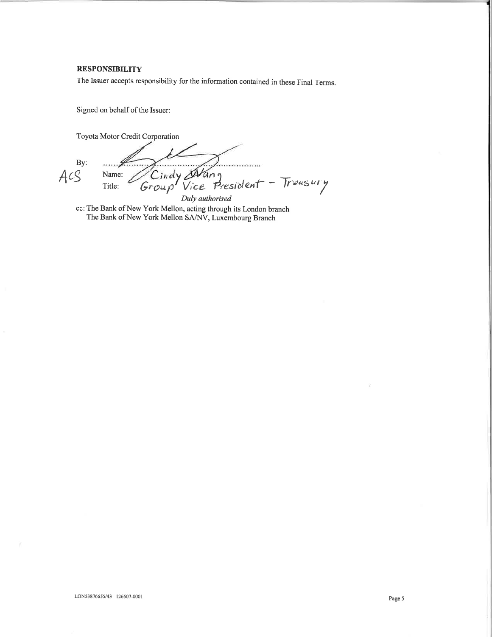#### **RESPONSIBILITY**

The Issuer accepts responsibility for the information contained in these Final Terms.

Signed on behalf of the Issuer:

Toyota Motor Credit Corporation

By:  $ACS$ 

. . . . . . . . . . Cindy Art<br>roup Vice Name: an g President - Treasury  $Group'$ Title: Duly authorised

cc: The Bank of New York Mellon, acting through its London branch The Bank of New York Mellon SA/NV, Luxembourg Branch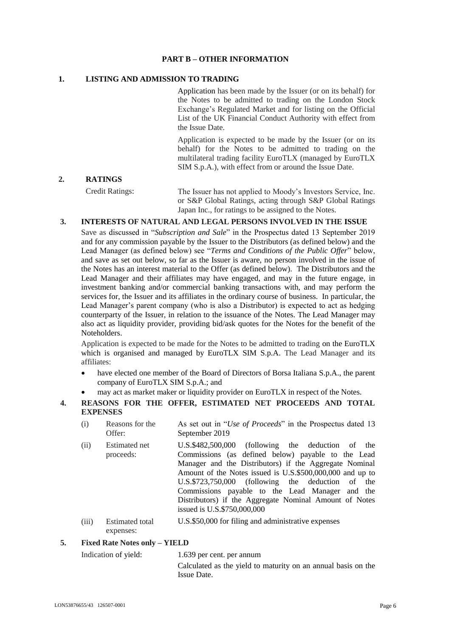# **PART B – OTHER INFORMATION**

# **1. LISTING AND ADMISSION TO TRADING**

Application has been made by the Issuer (or on its behalf) for the Notes to be admitted to trading on the London Stock Exchange's Regulated Market and for listing on the Official List of the UK Financial Conduct Authority with effect from the Issue Date.

Application is expected to be made by the Issuer (or on its behalf) for the Notes to be admitted to trading on the multilateral trading facility EuroTLX (managed by EuroTLX SIM S.p.A.), with effect from or around the Issue Date.

#### **2. RATINGS**

Credit Ratings: The Issuer has not applied to Moody's Investors Service, Inc. or S&P Global Ratings, acting through S&P Global Ratings Japan Inc., for ratings to be assigned to the Notes.

# **3. INTERESTS OF NATURAL AND LEGAL PERSONS INVOLVED IN THE ISSUE**

Save as discussed in "*Subscription and Sale*" in the Prospectus dated 13 September 2019 and for any commission payable by the Issuer to the Distributors (as defined below) and the Lead Manager (as defined below) see "*Terms and Conditions of the Public Offer*" below, and save as set out below, so far as the Issuer is aware, no person involved in the issue of the Notes has an interest material to the Offer (as defined below). The Distributors and the Lead Manager and their affiliates may have engaged, and may in the future engage, in investment banking and/or commercial banking transactions with, and may perform the services for, the Issuer and its affiliates in the ordinary course of business. In particular, the Lead Manager's parent company (who is also a Distributor) is expected to act as hedging counterparty of the Issuer, in relation to the issuance of the Notes. The Lead Manager may also act as liquidity provider, providing bid/ask quotes for the Notes for the benefit of the Noteholders.

Application is expected to be made for the Notes to be admitted to trading on the EuroTLX which is organised and managed by EuroTLX SIM S.p.A. The Lead Manager and its affiliates:

- have elected one member of the Board of Directors of Borsa Italiana S.p.A., the parent company of EuroTLX SIM S.p.A.; and
- may act as market maker or liquidity provider on EuroTLX in respect of the Notes.
- **4. REASONS FOR THE OFFER, ESTIMATED NET PROCEEDS AND TOTAL EXPENSES**
	- (i) Reasons for the Offer: As set out in "*Use of Proceeds*" in the Prospectus dated 13 September 2019
	- (ii) Estimated net proceeds: U.S.\$482,500,000 (following the deduction of the Commissions (as defined below) payable to the Lead Manager and the Distributors) if the Aggregate Nominal Amount of the Notes issued is U.S.\$500,000,000 and up to U.S.\$723,750,000 (following the deduction of the Commissions payable to the Lead Manager and the Distributors) if the Aggregate Nominal Amount of Notes issued is U.S.\$750,000,000
	- (iii) Estimated total expenses: U.S.\$50,000 for filing and administrative expenses

#### **5. Fixed Rate Notes only – YIELD**

Indication of yield: 1.639 per cent. per annum

Calculated as the yield to maturity on an annual basis on the Issue Date.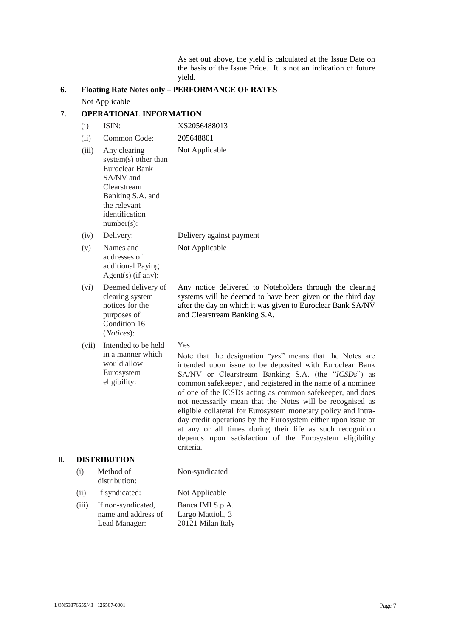As set out above, the yield is calculated at the Issue Date on the basis of the Issue Price. It is not an indication of future yield.

# **6. Floating Rate Notes only – PERFORMANCE OF RATES** Not Applicable

# **7. OPERATIONAL INFORMATION**

- (i) ISIN: XS2056488013 (ii) Common Code: 205648801 (iii) Any clearing system(s) other than Euroclear Bank SA/NV and Clearstream Banking S.A. and the relevant identification number(s): Not Applicable (iv) Delivery: Delivery against payment (v) Names and addresses of additional Paying Agent(s) (if any): Not Applicable (vi) Deemed delivery of clearing system notices for the purposes of Condition 16 (*Notices*): Any notice delivered to Noteholders through the clearing systems will be deemed to have been given on the third day after the day on which it was given to Euroclear Bank SA/NV and Clearstream Banking S.A. Yes
- (vii) Intended to be held in a manner which would allow Eurosystem eligibility:

Note that the designation "*yes*" means that the Notes are intended upon issue to be deposited with Euroclear Bank SA/NV or Clearstream Banking S.A. (the "*ICSDs*") as common safekeeper , and registered in the name of a nominee of one of the ICSDs acting as common safekeeper, and does not necessarily mean that the Notes will be recognised as eligible collateral for Eurosystem monetary policy and intraday credit operations by the Eurosystem either upon issue or at any or all times during their life as such recognition depends upon satisfaction of the Eurosystem eligibility criteria.

#### **8. DISTRIBUTION**

| (i)      | Method of<br>distribution:                                                                                           | Non-syndicated |
|----------|----------------------------------------------------------------------------------------------------------------------|----------------|
| (ii)     | If syndicated:                                                                                                       | Not Applicable |
| $\cdots$ | $\mathbf{r}$ $\mathbf{r}$ $\mathbf{r}$ $\mathbf{r}$ $\mathbf{r}$ $\mathbf{r}$ $\mathbf{r}$ $\mathbf{r}$ $\mathbf{r}$ | א הזורד הד     |

(iii) If non-syndicated, name and address of Lead Manager: Banca IMI S.p.A. Largo Mattioli, 3 20121 Milan Italy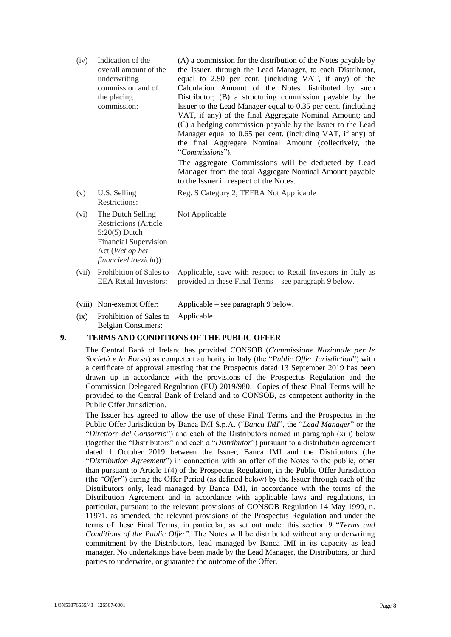| (iv)  | Indication of the<br>overall amount of the<br>underwriting<br>commission and of<br>the placing<br>commission:                                     | (A) a commission for the distribution of the Notes payable by<br>the Issuer, through the Lead Manager, to each Distributor,<br>equal to 2.50 per cent. (including VAT, if any) of the<br>Calculation Amount of the Notes distributed by such<br>Distributor; (B) a structuring commission payable by the<br>Issuer to the Lead Manager equal to 0.35 per cent. (including<br>VAT, if any) of the final Aggregate Nominal Amount; and<br>(C) a hedging commission payable by the Issuer to the Lead<br>Manager equal to 0.65 per cent. (including VAT, if any) of<br>the final Aggregate Nominal Amount (collectively, the<br>"Commissions").<br>The aggregate Commissions will be deducted by Lead |
|-------|---------------------------------------------------------------------------------------------------------------------------------------------------|----------------------------------------------------------------------------------------------------------------------------------------------------------------------------------------------------------------------------------------------------------------------------------------------------------------------------------------------------------------------------------------------------------------------------------------------------------------------------------------------------------------------------------------------------------------------------------------------------------------------------------------------------------------------------------------------------|
|       |                                                                                                                                                   | Manager from the total Aggregate Nominal Amount payable<br>to the Issuer in respect of the Notes.                                                                                                                                                                                                                                                                                                                                                                                                                                                                                                                                                                                                  |
| (v)   | U.S. Selling<br><b>Restrictions:</b>                                                                                                              | Reg. S Category 2; TEFRA Not Applicable                                                                                                                                                                                                                                                                                                                                                                                                                                                                                                                                                                                                                                                            |
| (vi)  | The Dutch Selling<br><b>Restrictions (Article</b><br>$5:20(5)$ Dutch<br><b>Financial Supervision</b><br>Act (Wet op het<br>financieel toezicht)): | Not Applicable                                                                                                                                                                                                                                                                                                                                                                                                                                                                                                                                                                                                                                                                                     |
| (vii) | Prohibition of Sales to<br><b>EEA Retail Investors:</b>                                                                                           | Applicable, save with respect to Retail Investors in Italy as<br>provided in these Final Terms – see paragraph 9 below.                                                                                                                                                                                                                                                                                                                                                                                                                                                                                                                                                                            |
|       | (viii) Non-exempt Offer:                                                                                                                          | Applicable – see paragraph 9 below.                                                                                                                                                                                                                                                                                                                                                                                                                                                                                                                                                                                                                                                                |

(ix) Prohibition of Sales to Applicable Belgian Consumers:

#### **9. TERMS AND CONDITIONS OF THE PUBLIC OFFER**

The Central Bank of Ireland has provided CONSOB (*Commissione Nazionale per le Società e la Borsa*) as competent authority in Italy (the "*Public Offer Jurisdiction*") with a certificate of approval attesting that the Prospectus dated 13 September 2019 has been drawn up in accordance with the provisions of the Prospectus Regulation and the Commission Delegated Regulation (EU) 2019/980. Copies of these Final Terms will be provided to the Central Bank of Ireland and to CONSOB, as competent authority in the Public Offer Jurisdiction.

The Issuer has agreed to allow the use of these Final Terms and the Prospectus in the Public Offer Jurisdiction by Banca IMI S.p.A. ("*Banca IMI*", the "*Lead Manager*" or the "*Direttore del Consorzio*") and each of the Distributors named in paragraph (xiii) below (together the "Distributors" and each a "*Distributor*") pursuant to a distribution agreement dated 1 October 2019 between the Issuer, Banca IMI and the Distributors (the "*Distribution Agreement*") in connection with an offer of the Notes to the public, other than pursuant to Article 1(4) of the Prospectus Regulation, in the Public Offer Jurisdiction (the "*Offer*") during the Offer Period (as defined below) by the Issuer through each of the Distributors only, lead managed by Banca IMI, in accordance with the terms of the Distribution Agreement and in accordance with applicable laws and regulations, in particular, pursuant to the relevant provisions of CONSOB Regulation 14 May 1999, n. 11971, as amended, the relevant provisions of the Prospectus Regulation and under the terms of these Final Terms, in particular, as set out under this section 9 "*Terms and Conditions of the Public Offer*". The Notes will be distributed without any underwriting commitment by the Distributors, lead managed by Banca IMI in its capacity as lead manager. No undertakings have been made by the Lead Manager, the Distributors, or third parties to underwrite, or guarantee the outcome of the Offer.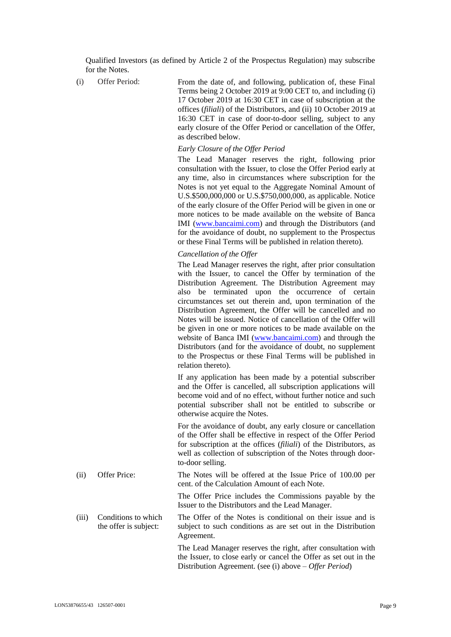Qualified Investors (as defined by Article 2 of the Prospectus Regulation) may subscribe for the Notes.

(i) Offer Period: From the date of, and following, publication of, these Final Terms being 2 October 2019 at 9:00 CET to, and including (i) 17 October 2019 at 16:30 CET in case of subscription at the offices (*filiali*) of the Distributors, and (ii) 10 October 2019 at 16:30 CET in case of door-to-door selling, subject to any early closure of the Offer Period or cancellation of the Offer, as described below.

#### *Early Closure of the Offer Period*

The Lead Manager reserves the right, following prior consultation with the Issuer, to close the Offer Period early at any time, also in circumstances where subscription for the Notes is not yet equal to the Aggregate Nominal Amount of U.S.\$500,000,000 or U.S.\$750,000,000, as applicable. Notice of the early closure of the Offer Period will be given in one or more notices to be made available on the website of Banca IMI [\(www.bancaimi.com\)](http://www.bancaimi.com/) and through the Distributors (and for the avoidance of doubt, no supplement to the Prospectus or these Final Terms will be published in relation thereto).

#### *Cancellation of the Offer*

The Lead Manager reserves the right, after prior consultation with the Issuer, to cancel the Offer by termination of the Distribution Agreement. The Distribution Agreement may also be terminated upon the occurrence of certain circumstances set out therein and, upon termination of the Distribution Agreement, the Offer will be cancelled and no Notes will be issued. Notice of cancellation of the Offer will be given in one or more notices to be made available on the website of Banca IMI [\(www.bancaimi.com\)](http://www.bancaimi.com/) and through the Distributors (and for the avoidance of doubt, no supplement to the Prospectus or these Final Terms will be published in relation thereto).

If any application has been made by a potential subscriber and the Offer is cancelled, all subscription applications will become void and of no effect, without further notice and such potential subscriber shall not be entitled to subscribe or otherwise acquire the Notes.

For the avoidance of doubt, any early closure or cancellation of the Offer shall be effective in respect of the Offer Period for subscription at the offices (*filiali*) of the Distributors, as well as collection of subscription of the Notes through doorto-door selling.

(ii) Offer Price: The Notes will be offered at the Issue Price of 100.00 per cent. of the Calculation Amount of each Note.

> The Offer Price includes the Commissions payable by the Issuer to the Distributors and the Lead Manager.

(iii) Conditions to which the offer is subject: The Offer of the Notes is conditional on their issue and is subject to such conditions as are set out in the Distribution Agreement.

The Lead Manager reserves the right, after consultation with the Issuer, to close early or cancel the Offer as set out in the Distribution Agreement. (see (i) above – *Offer Period*)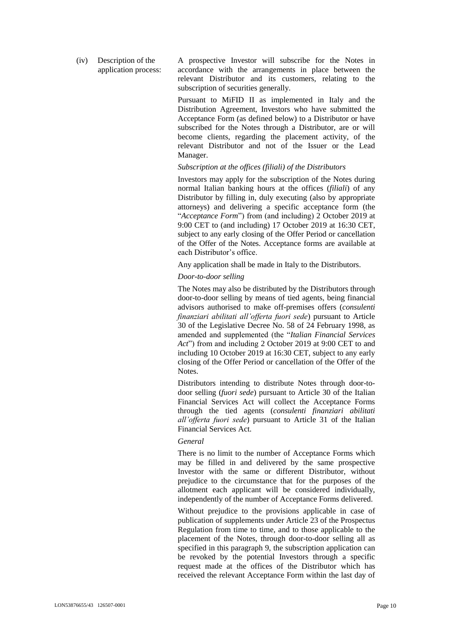(iv) Description of the application process: A prospective Investor will subscribe for the Notes in accordance with the arrangements in place between the relevant Distributor and its customers, relating to the subscription of securities generally.

Pursuant to MiFID II as implemented in Italy and the Distribution Agreement, Investors who have submitted the Acceptance Form (as defined below) to a Distributor or have subscribed for the Notes through a Distributor, are or will become clients, regarding the placement activity, of the relevant Distributor and not of the Issuer or the Lead Manager.

# *Subscription at the offices (filiali) of the Distributors*

Investors may apply for the subscription of the Notes during normal Italian banking hours at the offices (*filiali*) of any Distributor by filling in, duly executing (also by appropriate attorneys) and delivering a specific acceptance form (the "*Acceptance Form*") from (and including) 2 October 2019 at 9:00 CET to (and including) 17 October 2019 at 16:30 CET, subject to any early closing of the Offer Period or cancellation of the Offer of the Notes. Acceptance forms are available at each Distributor's office.

Any application shall be made in Italy to the Distributors.

#### *Door-to-door selling*

The Notes may also be distributed by the Distributors through door-to-door selling by means of tied agents, being financial advisors authorised to make off-premises offers (*consulenti finanziari abilitati all'offerta fuori sede*) pursuant to Article 30 of the Legislative Decree No. 58 of 24 February 1998, as amended and supplemented (the "*Italian Financial Services Act*") from and including 2 October 2019 at 9:00 CET to and including 10 October 2019 at 16:30 CET, subject to any early closing of the Offer Period or cancellation of the Offer of the Notes.

Distributors intending to distribute Notes through door-todoor selling (*fuori sede*) pursuant to Article 30 of the Italian Financial Services Act will collect the Acceptance Forms through the tied agents (*consulenti finanziari abilitati all'offerta fuori sede*) pursuant to Article 31 of the Italian Financial Services Act.

#### *General*

There is no limit to the number of Acceptance Forms which may be filled in and delivered by the same prospective Investor with the same or different Distributor, without prejudice to the circumstance that for the purposes of the allotment each applicant will be considered individually, independently of the number of Acceptance Forms delivered.

Without prejudice to the provisions applicable in case of publication of supplements under Article 23 of the Prospectus Regulation from time to time, and to those applicable to the placement of the Notes, through door-to-door selling all as specified in this paragraph 9, the subscription application can be revoked by the potential Investors through a specific request made at the offices of the Distributor which has received the relevant Acceptance Form within the last day of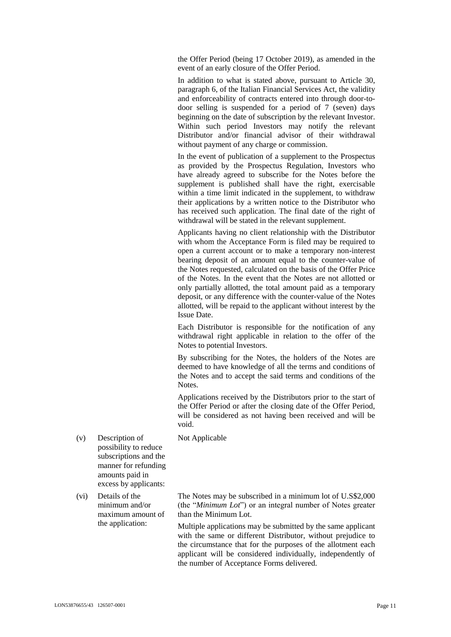the Offer Period (being 17 October 2019), as amended in the event of an early closure of the Offer Period.

In addition to what is stated above, pursuant to Article 30, paragraph 6, of the Italian Financial Services Act, the validity and enforceability of contracts entered into through door-todoor selling is suspended for a period of 7 (seven) days beginning on the date of subscription by the relevant Investor. Within such period Investors may notify the relevant Distributor and/or financial advisor of their withdrawal without payment of any charge or commission.

In the event of publication of a supplement to the Prospectus as provided by the Prospectus Regulation, Investors who have already agreed to subscribe for the Notes before the supplement is published shall have the right, exercisable within a time limit indicated in the supplement, to withdraw their applications by a written notice to the Distributor who has received such application. The final date of the right of withdrawal will be stated in the relevant supplement.

Applicants having no client relationship with the Distributor with whom the Acceptance Form is filed may be required to open a current account or to make a temporary non-interest bearing deposit of an amount equal to the counter-value of the Notes requested, calculated on the basis of the Offer Price of the Notes. In the event that the Notes are not allotted or only partially allotted, the total amount paid as a temporary deposit, or any difference with the counter-value of the Notes allotted, will be repaid to the applicant without interest by the Issue Date.

Each Distributor is responsible for the notification of any withdrawal right applicable in relation to the offer of the Notes to potential Investors.

By subscribing for the Notes, the holders of the Notes are deemed to have knowledge of all the terms and conditions of the Notes and to accept the said terms and conditions of the Notes.

Applications received by the Distributors prior to the start of the Offer Period or after the closing date of the Offer Period, will be considered as not having been received and will be void.

Not Applicable

- (v) Description of possibility to reduce subscriptions and the manner for refunding amounts paid in excess by applicants:
- (vi) Details of the minimum and/or maximum amount of the application:

The Notes may be subscribed in a minimum lot of U.S\$2,000 (the "*Minimum Lot*") or an integral number of Notes greater than the Minimum Lot.

Multiple applications may be submitted by the same applicant with the same or different Distributor, without prejudice to the circumstance that for the purposes of the allotment each applicant will be considered individually, independently of the number of Acceptance Forms delivered.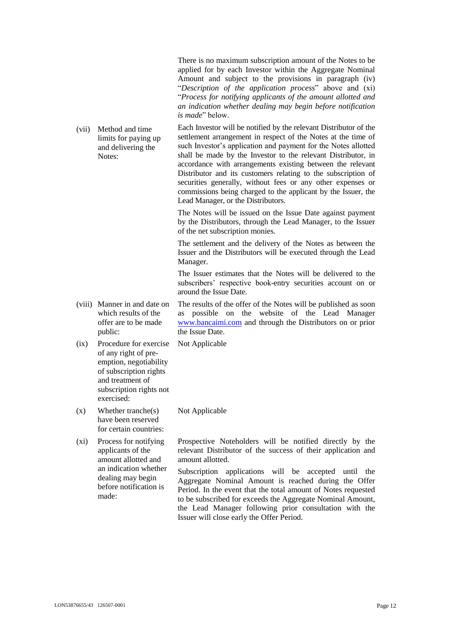There is no maximum subscription amount of the Notes to be applied for by each Investor within the Aggregate Nominal Amount and subject to the provisions in paragraph (iv) "*Description of the application process*" above and (xi) "*Process for notifying applicants of the amount allotted and an indication whether dealing may begin before notification is made*" below.

(vii) Method and time limits for paying up and delivering the Notes: Each Investor will be notified by the relevant Distributor of the settlement arrangement in respect of the Notes at the time of such Investor's application and payment for the Notes allotted shall be made by the Investor to the relevant Distributor, in accordance with arrangements existing between the relevant Distributor and its customers relating to the subscription of securities generally, without fees or any other expenses or commissions being charged to the applicant by the Issuer, the

Lead Manager, or the Distributors.

The Notes will be issued on the Issue Date against payment by the Distributors, through the Lead Manager, to the Issuer of the net subscription monies.

The settlement and the delivery of the Notes as between the Issuer and the Distributors will be executed through the Lead Manager.

The Issuer estimates that the Notes will be delivered to the subscribers' respective book-entry securities account on or around the Issue Date.

(viii) Manner in and date on which results of the offer are to be made public: The results of the offer of the Notes will be published as soon as possible on the website of the Lead Manager [www.bancaimi.com](http://www.bancaimi.com/) and through the Distributors on or prior the Issue Date.

Not Applicable

Not Applicable

- (ix) Procedure for exercise of any right of preemption, negotiability of subscription rights and treatment of subscription rights not exercised:
- (x) Whether tranche(s) have been reserved for certain countries:

(xi) Process for notifying applicants of the amount allotted and an indication whether dealing may begin before notification is made:

Prospective Noteholders will be notified directly by the relevant Distributor of the success of their application and amount allotted.

Subscription applications will be accepted until the Aggregate Nominal Amount is reached during the Offer Period. In the event that the total amount of Notes requested to be subscribed for exceeds the Aggregate Nominal Amount, the Lead Manager following prior consultation with the Issuer will close early the Offer Period.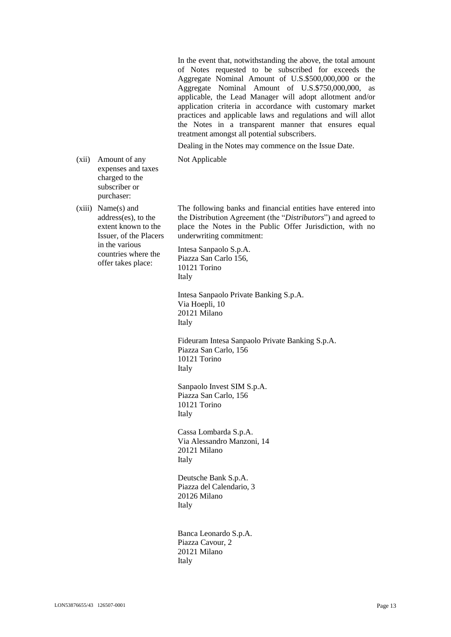In the event that, notwithstanding the above, the total amount of Notes requested to be subscribed for exceeds the Aggregate Nominal Amount of U.S.\$500,000,000 or the Aggregate Nominal Amount of U.S.\$750,000,000, as applicable, the Lead Manager will adopt allotment and/or application criteria in accordance with customary market practices and applicable laws and regulations and will allot the Notes in a transparent manner that ensures equal treatment amongst all potential subscribers.

Dealing in the Notes may commence on the Issue Date.

Not Applicable

(xii) Amount of any expenses and taxes charged to the subscriber or purchaser:

(xiii) Name(s) and address(es), to the extent known to the Issuer, of the Placers in the various countries where the offer takes place:

The following banks and financial entities have entered into the Distribution Agreement (the "*Distributors*") and agreed to place the Notes in the Public Offer Jurisdiction, with no underwriting commitment:

Intesa Sanpaolo S.p.A. Piazza San Carlo 156, 10121 Torino Italy

Intesa Sanpaolo Private Banking S.p.A. Via Hoepli, 10 20121 Milano Italy

Fideuram Intesa Sanpaolo Private Banking S.p.A. Piazza San Carlo, 156 10121 Torino Italy

Sanpaolo Invest SIM S.p.A. Piazza San Carlo, 156 10121 Torino Italy

Cassa Lombarda S.p.A. Via Alessandro Manzoni, 14 20121 Milano Italy

Deutsche Bank S.p.A. Piazza del Calendario, 3 20126 Milano Italy

Banca Leonardo S.p.A. Piazza Cavour, 2 20121 Milano Italy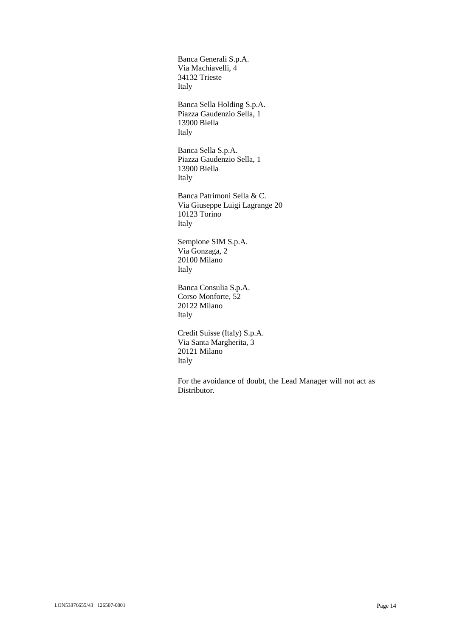Banca Generali S.p.A. Via Machiavelli, 4 34132 Trieste Italy Banca Sella Holding S.p.A. Piazza Gaudenzio Sella, 1 13900 Biella Italy Banca Sella S.p.A. Piazza Gaudenzio Sella, 1 13900 Biella Italy Banca Patrimoni Sella & C. Via Giuseppe Luigi Lagrange 20 10123 Torino Italy Sempione SIM S.p.A. Via Gonzaga, 2 20100 Milano Italy Banca Consulia S.p.A. Corso Monforte, 52 20122 Milano Italy Credit Suisse (Italy) S.p.A. Via Santa Margherita, 3 20121 Milano Italy

For the avoidance of doubt, the Lead Manager will not act as Distributor.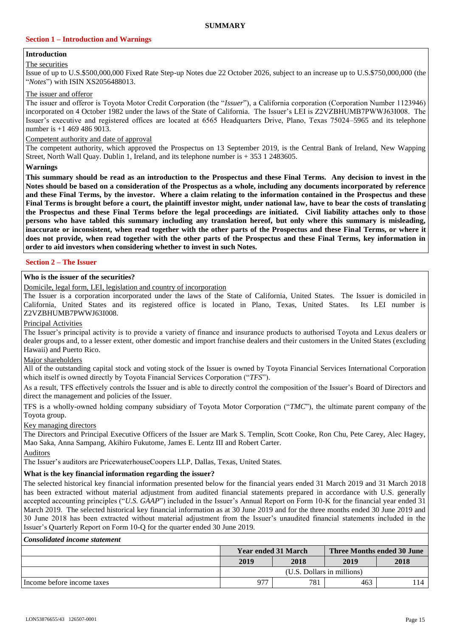# **Section 1 – Introduction and Warnings**

#### **Introduction** The securities

# Issue of up to U.S.\$500,000,000 Fixed Rate Step-up Notes due 22 October 2026, subject to an increase up to U.S.\$750,000,000 (the "*Notes*") with ISIN XS2056488013.

# The issuer and offeror

The issuer and offeror is Toyota Motor Credit Corporation (the "*Issuer*"), a California corporation (Corporation Number 1123946) incorporated on 4 October 1982 under the laws of the State of California. The Issuer's LEI is Z2VZBHUMB7PWWJ63I008. The Issuer's executive and registered offices are located at 6565 Headquarters Drive, Plano, Texas 75024–5965 and its telephone number is +1 469 486 9013.

#### Competent authority and date of approval

The competent authority, which approved the Prospectus on 13 September 2019, is the Central Bank of Ireland, New Wapping Street, North Wall Quay. Dublin 1, Ireland, and its telephone number is + 353 1 2483605.

**Warnings**

**This summary should be read as an introduction to the Prospectus and these Final Terms. Any decision to invest in the Notes should be based on a consideration of the Prospectus as a whole, including any documents incorporated by reference and these Final Terms, by the investor. Where a claim relating to the information contained in the Prospectus and these Final Terms is brought before a court, the plaintiff investor might, under national law, have to bear the costs of translating the Prospectus and these Final Terms before the legal proceedings are initiated. Civil liability attaches only to those persons who have tabled this summary including any translation hereof, but only where this summary is misleading, inaccurate or inconsistent, when read together with the other parts of the Prospectus and these Final Terms, or where it does not provide, when read together with the other parts of the Prospectus and these Final Terms, key information in order to aid investors when considering whether to invest in such Notes.**

# **Section 2 – The Issuer**

# **Who is the issuer of the securities?**

Domicile, legal form, LEI, legislation and country of incorporation

The Issuer is a corporation incorporated under the laws of the State of California, United States. The Issuer is domiciled in California, United States and its registered office is located in Plano, Texas, United States. Its LEI number is Z2VZBHUMB7PWWJ63I008.

#### Principal Activities

The Issuer's principal activity is to provide a variety of finance and insurance products to authorised Toyota and Lexus dealers or dealer groups and, to a lesser extent, other domestic and import franchise dealers and their customers in the United States (excluding Hawaii) and Puerto Rico.

#### Major shareholders

All of the outstanding capital stock and voting stock of the Issuer is owned by Toyota Financial Services International Corporation which itself is owned directly by Toyota Financial Services Corporation ("*TFS*").

As a result, TFS effectively controls the Issuer and is able to directly control the composition of the Issuer's Board of Directors and direct the management and policies of the Issuer.

TFS is a wholly-owned holding company subsidiary of Toyota Motor Corporation ("*TMC*"), the ultimate parent company of the Toyota group.

Key managing directors

The Directors and Principal Executive Officers of the Issuer are Mark S. Templin, Scott Cooke, Ron Chu, Pete Carey, Alec Hagey, Mao Saka, Anna Sampang, Akihiro Fukutome, James E. Lentz III and Robert Carter.

Auditors

The Issuer's auditors are PricewaterhouseCoopers LLP, Dallas, Texas, United States.

# **What is the key financial information regarding the issuer?**

The selected historical key financial information presented below for the financial years ended 31 March 2019 and 31 March 2018 has been extracted without material adjustment from audited financial statements prepared in accordance with U.S. generally accepted accounting principles ("*U.S. GAAP*") included in the Issuer's Annual Report on Form 10-K for the financial year ended 31 March 2019. The selected historical key financial information as at 30 June 2019 and for the three months ended 30 June 2019 and 30 June 2018 has been extracted without material adjustment from the Issuer's unaudited financial statements included in the Issuer's Quarterly Report on Form 10-Q for the quarter ended 30 June 2019.

#### *Consolidated income statement*

|                            | <b>Year ended 31 March</b> |      | <b>Three Months ended 30 June</b> |      |
|----------------------------|----------------------------|------|-----------------------------------|------|
|                            | 2019                       | 2018 | 2019                              | 2018 |
|                            | (U.S. Dollars in millions) |      |                                   |      |
| Income before income taxes | 977<br>781<br>463          |      |                                   |      |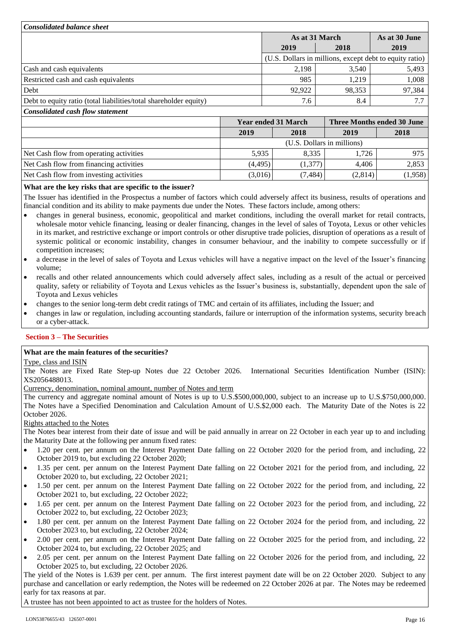| <b>Consolidated balance sheet</b>                                 |  |                            |                |                                                         |  |  |
|-------------------------------------------------------------------|--|----------------------------|----------------|---------------------------------------------------------|--|--|
|                                                                   |  |                            | As at 31 March |                                                         |  |  |
|                                                                   |  | 2019                       | 2018           | 2019                                                    |  |  |
|                                                                   |  |                            |                | (U.S. Dollars in millions, except debt to equity ratio) |  |  |
| Cash and cash equivalents                                         |  | 2,198                      | 3.540          | 5,493                                                   |  |  |
| Restricted cash and cash equivalents                              |  | 985                        | 1.219          | 1,008                                                   |  |  |
| Debt                                                              |  | 92,922                     | 98,353         | 97,384                                                  |  |  |
| Debt to equity ratio (total liabilities/total shareholder equity) |  | 7.6                        | 8.4            |                                                         |  |  |
| Consolidated cash flow statement                                  |  |                            |                |                                                         |  |  |
|                                                                   |  | <b>Year ended 31 March</b> |                | Three Months ended 30 June                              |  |  |

|                                         | 2019    | 2018                       | 2019    | 2018    |
|-----------------------------------------|---------|----------------------------|---------|---------|
|                                         |         | (U.S. Dollars in millions) |         |         |
| Net Cash flow from operating activities | 5.935   | 8.335                      | 1,726   | 975     |
| Net Cash flow from financing activities | (4.495) | (1,377)                    | 4.406   | 2,853   |
| Net Cash flow from investing activities | (3,016) | (7, 484)                   | (2,814) | (1,958) |

# **What are the key risks that are specific to the issuer?**

The Issuer has identified in the Prospectus a number of factors which could adversely affect its business, results of operations and financial condition and its ability to make payments due under the Notes. These factors include, among others:

- changes in general business, economic, geopolitical and market conditions, including the overall market for retail contracts, wholesale motor vehicle financing, leasing or dealer financing, changes in the level of sales of Toyota, Lexus or other vehicles in its market, and restrictive exchange or import controls or other disruptive trade policies, disruption of operations as a result of systemic political or economic instability, changes in consumer behaviour, and the inability to compete successfully or if competition increases;
- a decrease in the level of sales of Toyota and Lexus vehicles will have a negative impact on the level of the Issuer's financing volume;
- recalls and other related announcements which could adversely affect sales, including as a result of the actual or perceived quality, safety or reliability of Toyota and Lexus vehicles as the Issuer's business is, substantially, dependent upon the sale of Toyota and Lexus vehicles
- changes to the senior long-term debt credit ratings of TMC and certain of its affiliates, including the Issuer; and

 changes in law or regulation, including accounting standards, failure or interruption of the information systems, security breach or a cyber-attack.

# **Section 3 – The Securities**

#### **What are the main features of the securities?**

#### Type, class and ISIN

The Notes are Fixed Rate Step-up Notes due 22 October 2026. International Securities Identification Number (ISIN): XS2056488013.

Currency, denomination, nominal amount, number of Notes and term

The currency and aggregate nominal amount of Notes is up to U.S.\$500,000,000, subject to an increase up to U.S.\$750,000,000. The Notes have a Specified Denomination and Calculation Amount of U.S.\$2,000 each. The Maturity Date of the Notes is 22 October 2026.

#### Rights attached to the Notes

The Notes bear interest from their date of issue and will be paid annually in arrear on 22 October in each year up to and including the Maturity Date at the following per annum fixed rates:

- 1.20 per cent. per annum on the Interest Payment Date falling on 22 October 2020 for the period from, and including, 22 October 2019 to, but excluding 22 October 2020;
- 1.35 per cent. per annum on the Interest Payment Date falling on 22 October 2021 for the period from, and including, 22 October 2020 to, but excluding, 22 October 2021;
- 1.50 per cent. per annum on the Interest Payment Date falling on 22 October 2022 for the period from, and including, 22 October 2021 to, but excluding, 22 October 2022;
- 1.65 per cent. per annum on the Interest Payment Date falling on 22 October 2023 for the period from, and including, 22 October 2022 to, but excluding, 22 October 2023;
- 1.80 per cent. per annum on the Interest Payment Date falling on 22 October 2024 for the period from, and including, 22 October 2023 to, but excluding, 22 October 2024;
- 2.00 per cent. per annum on the Interest Payment Date falling on 22 October 2025 for the period from, and including, 22 October 2024 to, but excluding, 22 October 2025; and
- 2.05 per cent. per annum on the Interest Payment Date falling on 22 October 2026 for the period from, and including, 22 October 2025 to, but excluding, 22 October 2026.

The yield of the Notes is 1.639 per cent. per annum. The first interest payment date will be on 22 October 2020. Subject to any purchase and cancellation or early redemption, the Notes will be redeemed on 22 October 2026 at par. The Notes may be redeemed early for tax reasons at par.

A trustee has not been appointed to act as trustee for the holders of Notes.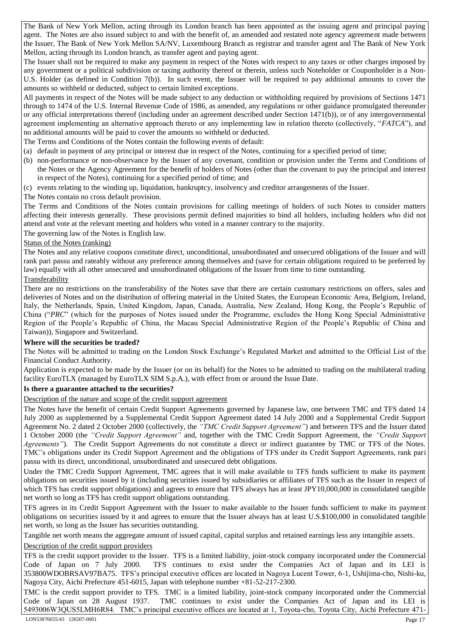The Bank of New York Mellon, acting through its London branch has been appointed as the issuing agent and principal paying agent. The Notes are also issued subject to and with the benefit of, an amended and restated note agency agreement made between the Issuer, The Bank of New York Mellon SA/NV, Luxembourg Branch as registrar and transfer agent and The Bank of New York Mellon, acting through its London branch, as transfer agent and paying agent.

The Issuer shall not be required to make any payment in respect of the Notes with respect to any taxes or other charges imposed by any government or a political subdivision or taxing authority thereof or therein, unless such Noteholder or Couponholder is a Non-U.S. Holder (as defined in Condition 7(b)). In such event, the Issuer will be required to pay additional amounts to cover the amounts so withheld or deducted, subject to certain limited exceptions.

All payments in respect of the Notes will be made subject to any deduction or withholding required by provisions of Sections 1471 through to 1474 of the U.S. Internal Revenue Code of 1986, as amended, any regulations or other guidance promulgated thereunder or any official interpretations thereof (including under an agreement described under Section 1471(b)), or of any intergovernmental agreement implementing an alternative approach thereto or any implementing law in relation thereto (collectively, "*FATCA*"), and no additional amounts will be paid to cover the amounts so withheld or deducted.

The Terms and Conditions of the Notes contain the following events of default:

- (a) default in payment of any principal or interest due in respect of the Notes, continuing for a specified period of time;
- (b) non-performance or non-observance by the Issuer of any covenant, condition or provision under the Terms and Conditions of the Notes or the Agency Agreement for the benefit of holders of Notes (other than the covenant to pay the principal and interest in respect of the Notes), continuing for a specified period of time; and
- (c) events relating to the winding up, liquidation, bankruptcy, insolvency and creditor arrangements of the Issuer.
- The Notes contain no cross default provision.

The Terms and Conditions of the Notes contain provisions for calling meetings of holders of such Notes to consider matters affecting their interests generally. These provisions permit defined majorities to bind all holders, including holders who did not attend and vote at the relevant meeting and holders who voted in a manner contrary to the majority.

The governing law of the Notes is English law.

# Status of the Notes (ranking)

The Notes and any relative coupons constitute direct, unconditional, unsubordinated and unsecured obligations of the Issuer and will rank pari passu and rateably without any preference among themselves and (save for certain obligations required to be preferred by law) equally with all other unsecured and unsubordinated obligations of the Issuer from time to time outstanding. Transferability

There are no restrictions on the transferability of the Notes save that there are certain customary restrictions on offers, sales and deliveries of Notes and on the distribution of offering material in the United States, the European Economic Area, Belgium, Ireland, Italy, the Netherlands, Spain, United Kingdom, Japan, Canada, Australia, New Zealand, Hong Kong, the People's Republic of China ("*PRC*" (which for the purposes of Notes issued under the Programme, excludes the Hong Kong Special Administrative Region of the People's Republic of China, the Macau Special Administrative Region of the People's Republic of China and Taiwan)), Singapore and Switzerland.

# **Where will the securities be traded?**

The Notes will be admitted to trading on the London Stock Exchange's Regulated Market and admitted to the Official List of the Financial Conduct Authority.

Application is expected to be made by the Issuer (or on its behalf) for the Notes to be admitted to trading on the multilateral trading facility EuroTLX (managed by EuroTLX SIM S.p.A.), with effect from or around the Issue Date.

# **Is there a guarantee attached to the securities?**

Description of the nature and scope of the credit support agreement

The Notes have the benefit of certain Credit Support Agreements governed by Japanese law, one between TMC and TFS dated 14 July 2000 as supplemented by a Supplemental Credit Support Agreement dated 14 July 2000 and a Supplemental Credit Support Agreement No. 2 dated 2 October 2000 (collectively, the *"TMC Credit Support Agreement"*) and between TFS and the Issuer dated 1 October 2000 (the *"Credit Support Agreement"* and, together with the TMC Credit Support Agreement, the *"Credit Support Agreements"*). The Credit Support Agreements do not constitute a direct or indirect guarantee by TMC or TFS of the Notes. TMC's obligations under its Credit Support Agreement and the obligations of TFS under its Credit Support Agreements, rank pari passu with its direct, unconditional, unsubordinated and unsecured debt obligations.

Under the TMC Credit Support Agreement, TMC agrees that it will make available to TFS funds sufficient to make its payment obligations on securities issued by it (including securities issued by subsidiaries or affiliates of TFS such as the Issuer in respect of which TFS has credit support obligations) and agrees to ensure that TFS always has at least JPY10,000,000 in consolidated tangible net worth so long as TFS has credit support obligations outstanding.

TFS agrees in its Credit Support Agreement with the Issuer to make available to the Issuer funds sufficient to make its payment obligations on securities issued by it and agrees to ensure that the Issuer always has at least U.S.\$100,000 in consolidated tangible net worth, so long as the Issuer has securities outstanding.

Tangible net worth means the aggregate amount of issued capital, capital surplus and retained earnings less any intangible assets.

# Description of the credit support providers

TFS is the credit support provider to the Issuer. TFS is a limited liability, joint-stock company incorporated under the Commercial Code of Japan on 7 July 2000. TFS continues to exist under the Companies Act of Japan and its LEI is 353800WDOBRSAV97BA75. TFS's principal executive offices are located in Nagoya Lucent Tower, 6-1, Ushijima-cho, Nishi-ku, Nagoya City, Aichi Prefecture 451-6015, Japan with telephone number +81-52-217-2300.

TMC is the credit support provider to TFS. TMC is a limited liability, joint-stock company incorporated under the Commercial Code of Japan on 28 August 1937. TMC continues to exist under the Companies Act of Japan and its LEI is 5493006W3QUS5LMH6R84. TMC's principal executive offices are located at 1, Toyota-cho, Toyota City, Aichi Prefecture 471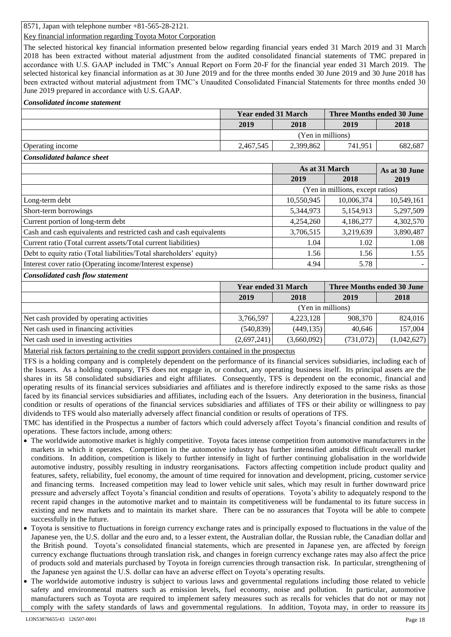8571, Japan with telephone number +81-565-28-2121.

# Key financial information regarding Toyota Motor Corporation

The selected historical key financial information presented below regarding financial years ended 31 March 2019 and 31 March 2018 has been extracted without material adjustment from the audited consolidated financial statements of TMC prepared in accordance with U.S. GAAP included in TMC's Annual Report on Form 20-F for the financial year ended 31 March 2019. The selected historical key financial information as at 30 June 2019 and for the three months ended 30 June 2019 and 30 June 2018 has been extracted without material adjustment from TMC's Unaudited Consolidated Financial Statements for three months ended 30 June 2019 prepared in accordance with U.S. GAAP.

#### *Consolidated income statement*

|                  | <b>Year ended 31 March</b> |           | Three Months ended 30 June |         |
|------------------|----------------------------|-----------|----------------------------|---------|
|                  | 2019                       | 2018      | 2019                       | 2018    |
|                  | (Yen in millions)          |           |                            |         |
| Operating income | 2,467,545                  | 2,399,862 | 741.951                    | 682,687 |

#### *Consolidated balance sheet*

|                                                                     | As at 31 March |                                  | As at 30 June |
|---------------------------------------------------------------------|----------------|----------------------------------|---------------|
|                                                                     | 2019           | 2018                             | 2019          |
|                                                                     |                | (Yen in millions, except ratios) |               |
| Long-term debt                                                      | 10,550,945     | 10,006,374                       | 10,549,161    |
| Short-term borrowings                                               | 5,344,973      | 5,154,913                        | 5,297,509     |
| Current portion of long-term debt                                   | 4,254,260      | 4,186,277                        | 4,302,570     |
| Cash and cash equivalents and restricted cash and cash equivalents  | 3,706,515      | 3,219,639                        | 3,890,487     |
| Current ratio (Total current assets/Total current liabilities)      | 1.04           | 1.02                             | 1.08          |
| Debt to equity ratio (Total liabilities/Total shareholders' equity) | 1.56           | 1.56                             | 1.55          |
| Interest cover ratio (Operating income/Interest expense)            | 4.94           | 5.78                             |               |

#### *Consolidated cash flow statement*

|                                           | <b>Year ended 31 March</b> |             | <b>Three Months ended 30 June</b> |             |
|-------------------------------------------|----------------------------|-------------|-----------------------------------|-------------|
|                                           | 2019                       | 2018        | 2019                              | 2018        |
|                                           | (Yen in millions)          |             |                                   |             |
| Net cash provided by operating activities | 3,766,597                  | 4,223,128   | 908,370                           | 824,016     |
| Net cash used in financing activities     | (540, 839)                 | (449, 135)  | 40.646                            | 157,004     |
| Net cash used in investing activities     | (2,697,241)                | (3,660,092) | (731,072)                         | (1,042,627) |

Material risk factors pertaining to the credit support providers contained in the prospectus

TFS is a holding company and is completely dependent on the performance of its financial services subsidiaries, including each of the Issuers. As a holding company, TFS does not engage in, or conduct, any operating business itself. Its principal assets are the shares in its 58 consolidated subsidiaries and eight affiliates. Consequently, TFS is dependent on the economic, financial and operating results of its financial services subsidiaries and affiliates and is therefore indirectly exposed to the same risks as those faced by its financial services subsidiaries and affiliates, including each of the Issuers. Any deterioration in the business, financial condition or results of operations of the financial services subsidiaries and affiliates of TFS or their ability or willingness to pay dividends to TFS would also materially adversely affect financial condition or results of operations of TFS.

TMC has identified in the Prospectus a number of factors which could adversely affect Toyota's financial condition and results of operations. These factors include, among others:

- The worldwide automotive market is highly competitive. Toyota faces intense competition from automotive manufacturers in the markets in which it operates. Competition in the automotive industry has further intensified amidst difficult overall market conditions. In addition, competition is likely to further intensify in light of further continuing globalisation in the worldwide automotive industry, possibly resulting in industry reorganisations. Factors affecting competition include product quality and features, safety, reliability, fuel economy, the amount of time required for innovation and development, pricing, customer service and financing terms. Increased competition may lead to lower vehicle unit sales, which may result in further downward price pressure and adversely affect Toyota's financial condition and results of operations. Toyota's ability to adequately respond to the recent rapid changes in the automotive market and to maintain its competitiveness will be fundamental to its future success in existing and new markets and to maintain its market share. There can be no assurances that Toyota will be able to compete successfully in the future.
- Toyota is sensitive to fluctuations in foreign currency exchange rates and is principally exposed to fluctuations in the value of the Japanese yen, the U.S. dollar and the euro and, to a lesser extent, the Australian dollar, the Russian ruble, the Canadian dollar and the British pound. Toyota's consolidated financial statements, which are presented in Japanese yen, are affected by foreign currency exchange fluctuations through translation risk, and changes in foreign currency exchange rates may also affect the price of products sold and materials purchased by Toyota in foreign currencies through transaction risk. In particular, strengthening of the Japanese yen against the U.S. dollar can have an adverse effect on Toyota's operating results.
- The worldwide automotive industry is subject to various laws and governmental regulations including those related to vehicle safety and environmental matters such as emission levels, fuel economy, noise and pollution. In particular, automotive manufacturers such as Toyota are required to implement safety measures such as recalls for vehicles that do not or may not comply with the safety standards of laws and governmental regulations. In addition, Toyota may, in order to reassure its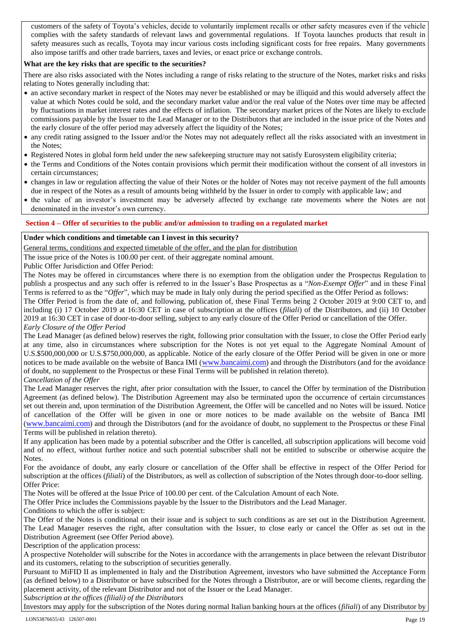customers of the safety of Toyota's vehicles, decide to voluntarily implement recalls or other safety measures even if the vehicle complies with the safety standards of relevant laws and governmental regulations. If Toyota launches products that result in safety measures such as recalls, Toyota may incur various costs including significant costs for free repairs. Many governments also impose tariffs and other trade barriers, taxes and levies, or enact price or exchange controls.

# **What are the key risks that are specific to the securities?**

There are also risks associated with the Notes including a range of risks relating to the structure of the Notes, market risks and risks relating to Notes generally including that:

- an active secondary market in respect of the Notes may never be established or may be illiquid and this would adversely affect the value at which Notes could be sold, and the secondary market value and/or the real value of the Notes over time may be affected by fluctuations in market interest rates and the effects of inflation. The secondary market prices of the Notes are likely to exclude commissions payable by the Issuer to the Lead Manager or to the Distributors that are included in the issue price of the Notes and the early closure of the offer period may adversely affect the liquidity of the Notes;
- any credit rating assigned to the Issuer and/or the Notes may not adequately reflect all the risks associated with an investment in the Notes;
- Registered Notes in global form held under the new safekeeping structure may not satisfy Eurosystem eligibility criteria;
- the Terms and Conditions of the Notes contain provisions which permit their modification without the consent of all investors in certain circumstances;
- changes in law or regulation affecting the value of their Notes or the holder of Notes may not receive payment of the full amounts due in respect of the Notes as a result of amounts being withheld by the Issuer in order to comply with applicable law; and
- the value of an investor's investment may be adversely affected by exchange rate movements where the Notes are not denominated in the investor's own currency.

# **Section 4 – Offer of securities to the public and/or admission to trading on a regulated market**

# **Under which conditions and timetable can I invest in this security?**

General terms, conditions and expected timetable of the offer, and the plan for distribution

The issue price of the Notes is 100.00 per cent. of their aggregate nominal amount.

Public Offer Jurisdiction and Offer Period:

The Notes may be offered in circumstances where there is no exemption from the obligation under the Prospectus Regulation to publish a prospectus and any such offer is referred to in the Issuer's Base Prospectus as a "*Non-Exempt Offer*" and in these Final Terms is referred to as the "*Offer*", which may be made in Italy only during the period specified as the Offer Period as follows:

The Offer Period is from the date of, and following, publication of, these Final Terms being 2 October 2019 at 9:00 CET to, and including (i) 17 October 2019 at 16:30 CET in case of subscription at the offices (*filiali*) of the Distributors, and (ii) 10 October 2019 at 16:30 CET in case of door-to-door selling, subject to any early closure of the Offer Period or cancellation of the Offer. *Early Closure of the Offer Period*

The Lead Manager (as defined below) reserves the right, following prior consultation with the Issuer, to close the Offer Period early at any time, also in circumstances where subscription for the Notes is not yet equal to the Aggregate Nominal Amount of U.S.\$500,000,000 or U.S.\$750,000,000, as applicable. Notice of the early closure of the Offer Period will be given in one or more notices to be made available on the website of Banca IMI ([www.bancaimi.com](http://www.bancaimi.com/)) and through the Distributors (and for the avoidance of doubt, no supplement to the Prospectus or these Final Terms will be published in relation thereto). *Cancellation of the Offer*

The Lead Manager reserves the right, after prior consultation with the Issuer, to cancel the Offer by termination of the Distribution Agreement (as defined below). The Distribution Agreement may also be terminated upon the occurrence of certain circumstances set out therein and, upon termination of the Distribution Agreement, the Offer will be cancelled and no Notes will be issued. Notice of cancellation of the Offer will be given in one or more notices to be made available on the website of Banca IMI ([www.bancaimi.com](http://www.bancaimi.com/)) and through the Distributors (and for the avoidance of doubt, no supplement to the Prospectus or these Final Terms will be published in relation thereto).

If any application has been made by a potential subscriber and the Offer is cancelled, all subscription applications will become void and of no effect, without further notice and such potential subscriber shall not be entitled to subscribe or otherwise acquire the Notes.

For the avoidance of doubt, any early closure or cancellation of the Offer shall be effective in respect of the Offer Period for subscription at the offices (*filiali*) of the Distributors, as well as collection of subscription of the Notes through door-to-door selling. Offer Price:

The Notes will be offered at the Issue Price of 100.00 per cent. of the Calculation Amount of each Note.

The Offer Price includes the Commissions payable by the Issuer to the Distributors and the Lead Manager.

Conditions to which the offer is subject:

The Offer of the Notes is conditional on their issue and is subject to such conditions as are set out in the Distribution Agreement. The Lead Manager reserves the right, after consultation with the Issuer, to close early or cancel the Offer as set out in the Distribution Agreement (see Offer Period above).

Description of the application process:

A prospective Noteholder will subscribe for the Notes in accordance with the arrangements in place between the relevant Distributor and its customers, relating to the subscription of securities generally.

Pursuant to MiFID II as implemented in Italy and the Distribution Agreement, investors who have submitted the Acceptance Form (as defined below) to a Distributor or have subscribed for the Notes through a Distributor, are or will become clients, regarding the placement activity, of the relevant Distributor and not of the Issuer or the Lead Manager. *Subscription at the offices (filiali) of the Distributors*

Investors may apply for the subscription of the Notes during normal Italian banking hours at the offices (*filiali*) of any Distributor by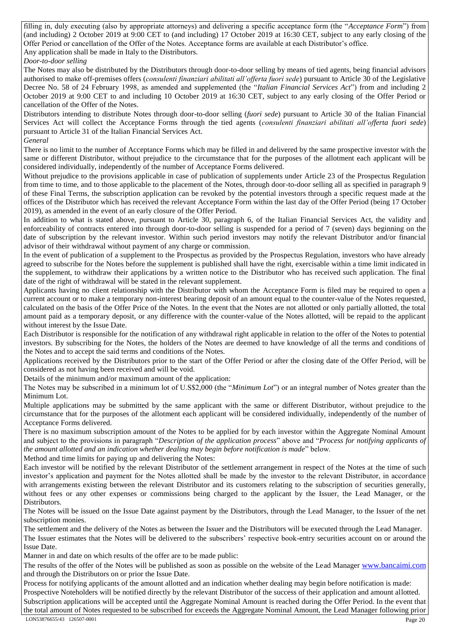filling in, duly executing (also by appropriate attorneys) and delivering a specific acceptance form (the "*Acceptance Form*") from (and including) 2 October 2019 at 9:00 CET to (and including) 17 October 2019 at 16:30 CET, subject to any early closing of the Offer Period or cancellation of the Offer of the Notes. Acceptance forms are available at each Distributor's office. Any application shall be made in Italy to the Distributors.

*Door-to-door selling*

The Notes may also be distributed by the Distributors through door-to-door selling by means of tied agents, being financial advisors authorised to make off-premises offers (*consulenti finanziari abilitati all'offerta fuori sede*) pursuant to Article 30 of the Legislative Decree No. 58 of 24 February 1998, as amended and supplemented (the "*Italian Financial Services Act*") from and including 2 October 2019 at 9:00 CET to and including 10 October 2019 at 16:30 CET, subject to any early closing of the Offer Period or cancellation of the Offer of the Notes.

Distributors intending to distribute Notes through door-to-door selling (*fuori sede*) pursuant to Article 30 of the Italian Financial Services Act will collect the Acceptance Forms through the tied agents (*consulenti finanziari abilitati all'offerta fuori sede*) pursuant to Article 31 of the Italian Financial Services Act. *General*

There is no limit to the number of Acceptance Forms which may be filled in and delivered by the same prospective investor with the same or different Distributor, without prejudice to the circumstance that for the purposes of the allotment each applicant will be considered individually, independently of the number of Acceptance Forms delivered.

Without prejudice to the provisions applicable in case of publication of supplements under Article 23 of the Prospectus Regulation from time to time, and to those applicable to the placement of the Notes, through door-to-door selling all as specified in paragraph 9 of these Final Terms, the subscription application can be revoked by the potential investors through a specific request made at the offices of the Distributor which has received the relevant Acceptance Form within the last day of the Offer Period (being 17 October 2019), as amended in the event of an early closure of the Offer Period.

In addition to what is stated above, pursuant to Article 30, paragraph 6, of the Italian Financial Services Act, the validity and enforceability of contracts entered into through door-to-door selling is suspended for a period of 7 (seven) days beginning on the date of subscription by the relevant investor. Within such period investors may notify the relevant Distributor and/or financial advisor of their withdrawal without payment of any charge or commission.

In the event of publication of a supplement to the Prospectus as provided by the Prospectus Regulation, investors who have already agreed to subscribe for the Notes before the supplement is published shall have the right, exercisable within a time limit indicated in the supplement, to withdraw their applications by a written notice to the Distributor who has received such application. The final date of the right of withdrawal will be stated in the relevant supplement.

Applicants having no client relationship with the Distributor with whom the Acceptance Form is filed may be required to open a current account or to make a temporary non-interest bearing deposit of an amount equal to the counter-value of the Notes requested, calculated on the basis of the Offer Price of the Notes. In the event that the Notes are not allotted or only partially allotted, the total amount paid as a temporary deposit, or any difference with the counter-value of the Notes allotted, will be repaid to the applicant without interest by the Issue Date.

Each Distributor is responsible for the notification of any withdrawal right applicable in relation to the offer of the Notes to potential investors. By subscribing for the Notes, the holders of the Notes are deemed to have knowledge of all the terms and conditions of the Notes and to accept the said terms and conditions of the Notes.

Applications received by the Distributors prior to the start of the Offer Period or after the closing date of the Offer Period, will be considered as not having been received and will be void.

Details of the minimum and/or maximum amount of the application:

The Notes may be subscribed in a minimum lot of U.S\$2,000 (the "*Minimum Lot*") or an integral number of Notes greater than the Minimum Lot.

Multiple applications may be submitted by the same applicant with the same or different Distributor, without prejudice to the circumstance that for the purposes of the allotment each applicant will be considered individually, independently of the number of Acceptance Forms delivered.

There is no maximum subscription amount of the Notes to be applied for by each investor within the Aggregate Nominal Amount and subject to the provisions in paragraph "*Description of the application process*" above and "*Process for notifying applicants of the amount allotted and an indication whether dealing may begin before notification is made*" below.

Method and time limits for paying up and delivering the Notes: Each investor will be notified by the relevant Distributor of the settlement arrangement in respect of the Notes at the time of such investor's application and payment for the Notes allotted shall be made by the investor to the relevant Distributor, in accordance with arrangements existing between the relevant Distributor and its customers relating to the subscription of securities generally,

without fees or any other expenses or commissions being charged to the applicant by the Issuer, the Lead Manager, or the Distributors. The Notes will be issued on the Issue Date against payment by the Distributors, through the Lead Manager, to the Issuer of the net subscription monies.

The settlement and the delivery of the Notes as between the Issuer and the Distributors will be executed through the Lead Manager. The Issuer estimates that the Notes will be delivered to the subscribers' respective book-entry securities account on or around the Issue Date.

Manner in and date on which results of the offer are to be made public:

The results of the offer of the Notes will be published as soon as possible on the website of the Lead Manager [www.bancaimi.com](http://www.bancaimi.com/) and through the Distributors on or prior the Issue Date.

Process for notifying applicants of the amount allotted and an indication whether dealing may begin before notification is made: Prospective Noteholders will be notified directly by the relevant Distributor of the success of their application and amount allotted. Subscription applications will be accepted until the Aggregate Nominal Amount is reached during the Offer Period. In the event that the total amount of Notes requested to be subscribed for exceeds the Aggregate Nominal Amount, the Lead Manager following prior